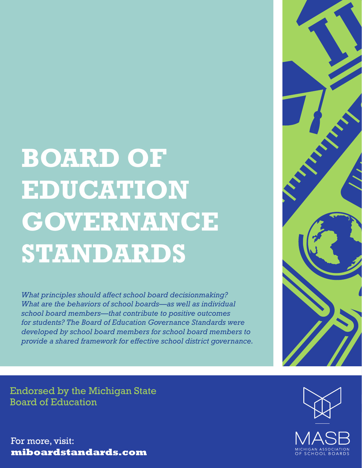# **BOARD OF EDUCATION GOVERNANCE STANDARDS**

*What principles should affect school board decisionmaking? What are the behaviors of school boards—as well as individual school board members—that contribute to positive outcomes for students? The Board of Education Governance Standards were developed by school board members for school board members to provide a shared framework for effective school district governance.*



Endorsed by the Michigan State Board of Education

For more, visit: **miboardstandards.com**

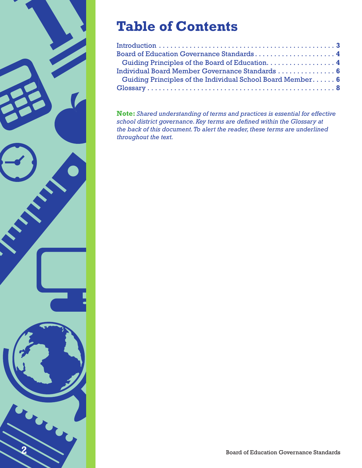

### **Table of Contents**

| Guiding Principles of the Board of Education. 4            |  |
|------------------------------------------------------------|--|
| Individual Board Member Governance Standards  6            |  |
| Guiding Principles of the Individual School Board Member 6 |  |
|                                                            |  |

**Note:** *Shared understanding of terms and practices is essential for effective school district governance. Key terms are defined within the Glossary at the back of this document. To alert the reader, these terms are underlined throughout the text.*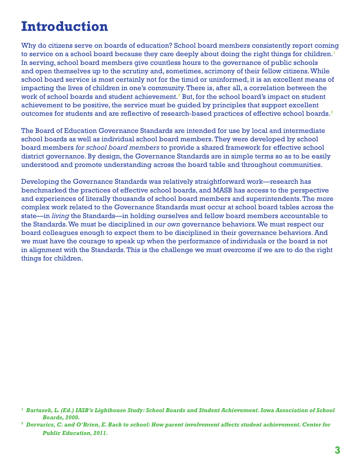### **Introduction**

Why do citizens serve on boards of education? School board members consistently report coming to service on a school board because they care deeply about doing the right things for children. *1* In serving, school board members give countless hours to the governance of public schools and open themselves up to the scrutiny and, sometimes, acrimony of their fellow citizens. While school board service is most certainly not for the timid or uninformed, it is an excellent means of impacting the lives of children in one's community. There is, after all, a correlation between the work of school boards and student achievement.<sup>2</sup> But, for the school board's impact on student achievement to be positive, the service must be guided by principles that support excellent outcomes for students and are reflective of research-based practices of effective school boards. *2*

The Board of Education Governance Standards are intended for use by local and intermediate school boards as well as individual school board members. They were developed by school board members *for school board members* to provide a shared framework for effective school district governance. By design, the Governance Standards are in simple terms so as to be easily understood and promote understanding across the board table and throughout communities.

Developing the Governance Standards was relatively straightforward work—research has benchmarked the practices of effective school boards, and MASB has access to the perspective and experiences of literally thousands of school board members and superintendents. The more complex work related to the Governance Standards must occur at school board tables across the state—in *living* the Standards—in holding ourselves and fellow board members accountable to the Standards. We must be disciplined in *our own* governance behaviors. We must respect our board colleagues enough to expect them to be disciplined in their governance behaviors. And we must have the courage to speak up when the performance of individuals or the board is not in alignment with the Standards. This is the challenge we must overcome if we are to do the right things for children.

*<sup>1</sup> Bartusek, L. (Ed.) IASB's Lighthouse Study: School Boards and Student Achievement. Iowa Association of School Boards, 2000.*

*<sup>2</sup> Dervarics, C. and O'Brien, E. Back to school: How parent involvement affects student achievement. Center for Public Education, 2011.*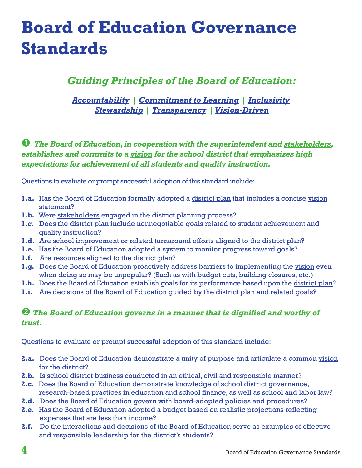### **Board of Education Governance Standards**

### *Guiding Principles of the Board of Education:*

*Accountability | Commitment to Learning | Inclusivity Stewardship | Transparency | Vision-Driven*

### *The Board of Education, in cooperation with the superintendent and stakeholders, establishes and commits to a vision for the school district that emphasizes high expectations for achievement of all students and quality instruction.*

Questions to evaluate or prompt successful adoption of this standard include:

- 1.a. Has the Board of Education formally adopted a district plan that includes a concise vision statement?
- **1.b.** Were stakeholders engaged in the district planning process?
- **1.c.** Does the district plan include nonnegotiable goals related to student achievement and quality instruction?
- **1.d.** Are school improvement or related turnaround efforts aligned to the district plan?
- **1.e.** Has the Board of Education adopted a system to monitor progress toward goals?
- **1.f.** Are resources aligned to the district plan?
- **1.g.** Does the Board of Education proactively address barriers to implementing the vision even when doing so may be unpopular? (Such as with budget cuts, building closures, etc.)
- **1.h.** Does the Board of Education establish goals for its performance based upon the district plan?
- 1.i. Are decisions of the Board of Education guided by the district plan and related goals?

#### *The Board of Education governs in a manner that is dignified and worthy of trust.*

Questions to evaluate or prompt successful adoption of this standard include:

- **2.a.** Does the Board of Education demonstrate a unity of purpose and articulate a common vision for the district?
- **2.b.** Is school district business conducted in an ethical, civil and responsible manner?
- **2.c.** Does the Board of Education demonstrate knowledge of school district governance, research-based practices in education and school finance, as well as school and labor law?
- **2.d.** Does the Board of Education govern with board-adopted policies and procedures?
- **2.e.** Has the Board of Education adopted a budget based on realistic projections reflecting expenses that are less than income?
- **2.f.** Do the interactions and decisions of the Board of Education serve as examples of effective and responsible leadership for the district's students?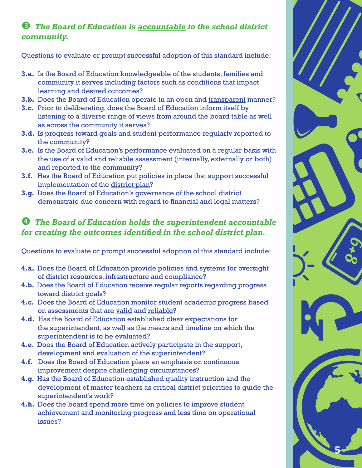### *The Board of Education is accountable to the school district community.*

Questions to evaluate or prompt successful adoption of this standard include:

- **3.a.** Is the Board of Education knowledgeable of the students, families and community it serves including factors such as conditions that impact learning and desired outcomes?
- **3.b.** Does the Board of Education operate in an open and transparent manner?
- **3.c.** Prior to deliberating, does the Board of Education inform itself by listening to a diverse range of views from around the board table as well as across the community it serves?
- **3.d.** Is progress toward goals and student performance regularly reported to the community?
- **3.e.** Is the Board of Education's performance evaluated on a regular basis with the use of a valid and reliable assessment (internally, externally or both) and reported to the community?
- **3.f.** Has the Board of Education put policies in place that support successful implementation of the district plan?
- **3.g.** Does the Board of Education's governance of the school district demonstrate due concern with regard to financial and legal matters?

### *The Board of Education holds the superintendent accountable for creating the outcomes identified in the school district plan.*

Questions to evaluate or prompt successful adoption of this standard include:

- **4.a.** Does the Board of Education provide policies and systems for oversight of district resources, infrastructure and compliance?
- **4.b.** Does the Board of Education receive regular reports regarding progress toward district goals?
- **4.c.** Does the Board of Education monitor student academic progress based on assessments that are valid and reliable?
- **4.d.** Has the Board of Education established clear expectations for the superintendent, as well as the means and timeline on which the superintendent is to be evaluated?
- **4.e.** Does the Board of Education actively participate in the support, development and evaluation of the superintendent?
- **4.f.** Does the Board of Education place an emphasis on continuous improvement despite challenging circumstances?
- **4.g.** Has the Board of Education established quality instruction and the development of master teachers as critical district priorities to guide the superintendent's work?
- **4.h.** Does the board spend more time on policies to improve student achievement and monitoring progress and less time on operational issues?

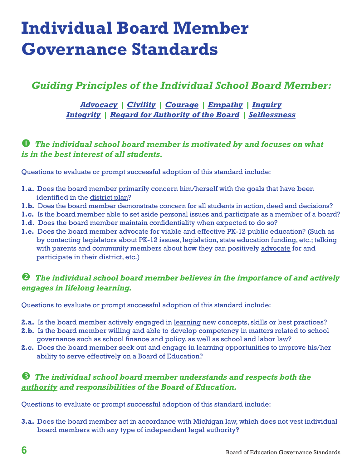## **Individual Board Member Governance Standards**

### *Guiding Principles of the Individual School Board Member:*

*Advocacy | Civility | Courage | Empathy | Inquiry Integrity | Regard for Authority of the Board | Selflessness*

### *The individual school board member is motivated by and focuses on what is in the best interest of all students.*

Questions to evaluate or prompt successful adoption of this standard include:

- **1.a.** Does the board member primarily concern him/herself with the goals that have been identified in the district plan?
- **1.b.** Does the board member demonstrate concern for all students in action, deed and decisions?
- **1.c.** Is the board member able to set aside personal issues and participate as a member of a board?
- **1.d.** Does the board member maintain confidentiality when expected to do so?
- **1.e.** Does the board member advocate for viable and effective PK-12 public education? (Such as by contacting legislators about PK-12 issues, legislation, state education funding, etc.; talking with parents and community members about how they can positively advocate for and participate in their district, etc.)

#### *The individual school board member believes in the importance of and actively engages in lifelong learning.*

Questions to evaluate or prompt successful adoption of this standard include:

- **2.a.** Is the board member actively engaged in learning new concepts, skills or best practices?
- **2.b.** Is the board member willing and able to develop competency in matters related to school governance such as school finance and policy, as well as school and labor law?
- **2.c.** Does the board member seek out and engage in learning opportunities to improve his/her ability to serve effectively on a Board of Education?

#### *The individual school board member understands and respects both the authority and responsibilities of the Board of Education.*

Questions to evaluate or prompt successful adoption of this standard include:

**3.a.** Does the board member act in accordance with Michigan law, which does not vest individual board members with any type of independent legal authority?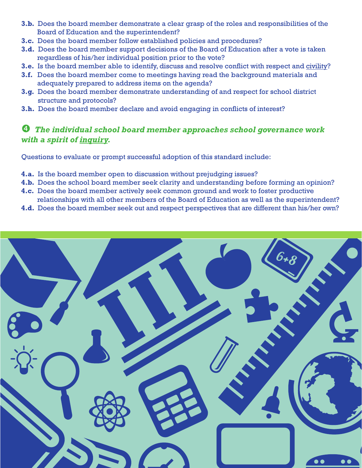- **3.b.** Does the board member demonstrate a clear grasp of the roles and responsibilities of the Board of Education and the superintendent?
- **3.c.** Does the board member follow established policies and procedures?
- **3.d.** Does the board member support decisions of the Board of Education after a vote is taken regardless of his/her individual position prior to the vote?
- **3.e.** Is the board member able to identify, discuss and resolve conflict with respect and civility?
- **3.f.** Does the board member come to meetings having read the background materials and adequately prepared to address items on the agenda?
- **3.g.** Does the board member demonstrate understanding of and respect for school district structure and protocols?
- **3.h.** Does the board member declare and avoid engaging in conflicts of interest?

### *The individual school board member approaches school governance work with a spirit of inquiry.*

Questions to evaluate or prompt successful adoption of this standard include:

- **4.a.** Is the board member open to discussion without prejudging issues?
- **4.b.** Does the school board member seek clarity and understanding before forming an opinion?
- **4.c.** Does the board member actively seek common ground and work to foster productive relationships with all other members of the Board of Education as well as the superintendent?
- **4.d.** Does the board member seek out and respect perspectives that are different than his/her own?

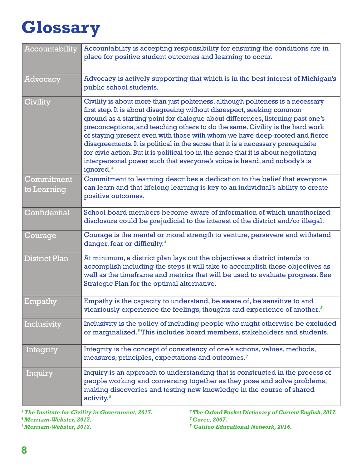# **Glossary**

| Accountability            | Accountability is accepting responsibility for ensuring the conditions are in<br>place for positive student outcomes and learning to occur.                                                                                                                                                                                                                                                                                                                                                                                                                                                                                                                                                 |
|---------------------------|---------------------------------------------------------------------------------------------------------------------------------------------------------------------------------------------------------------------------------------------------------------------------------------------------------------------------------------------------------------------------------------------------------------------------------------------------------------------------------------------------------------------------------------------------------------------------------------------------------------------------------------------------------------------------------------------|
| Advocacy                  | Advocacy is actively supporting that which is in the best interest of Michigan's<br>public school students.                                                                                                                                                                                                                                                                                                                                                                                                                                                                                                                                                                                 |
| Civility                  | Civility is about more than just politeness, although politeness is a necessary<br>first step. It is about disagreeing without disrespect, seeking common<br>ground as a starting point for dialogue about differences, listening past one's<br>preconceptions, and teaching others to do the same. Civility is the hard work<br>of staying present even with those with whom we have deep-rooted and fierce<br>disagreements. It is political in the sense that it is a necessary prerequisite<br>for civic action. But it is political too in the sense that it is about negotiating<br>interpersonal power such that everyone's voice is heard, and nobody's is<br>ignored. <sup>3</sup> |
| Commitment<br>to Learning | Commitment to learning describes a dedication to the belief that everyone<br>can learn and that lifelong learning is key to an individual's ability to create<br>positive outcomes.                                                                                                                                                                                                                                                                                                                                                                                                                                                                                                         |
| Confidential              | School board members become aware of information of which unauthorized<br>disclosure could be prejudicial to the interest of the district and/or illegal.                                                                                                                                                                                                                                                                                                                                                                                                                                                                                                                                   |
| Courage                   | Courage is the mental or moral strength to venture, persevere and withstand<br>danger, fear or difficulty. <sup>4</sup>                                                                                                                                                                                                                                                                                                                                                                                                                                                                                                                                                                     |
| <b>District Plan</b>      | At minimum, a district plan lays out the objectives a district intends to<br>accomplish including the steps it will take to accomplish those objectives as<br>well as the timeframe and metrics that will be used to evaluate progress. See<br>Strategic Plan for the optimal alternative.                                                                                                                                                                                                                                                                                                                                                                                                  |
| Empathy                   | Empathy is the capacity to understand, be aware of, be sensitive to and<br>vicariously experience the feelings, thoughts and experience of another. <sup>5</sup>                                                                                                                                                                                                                                                                                                                                                                                                                                                                                                                            |
| Inclusivity               | Inclusivity is the policy of including people who might otherwise be excluded<br>or marginalized. <sup>6</sup> This includes board members, stakeholders and students.                                                                                                                                                                                                                                                                                                                                                                                                                                                                                                                      |
| Integrity                 | Integrity is the concept of consistency of one's actions, values, methods,<br>measures, principles, expectations and outcomes. <sup>7</sup>                                                                                                                                                                                                                                                                                                                                                                                                                                                                                                                                                 |
| Inquiry                   | Inquiry is an approach to understanding that is constructed in the process of<br>people working and conversing together as they pose and solve problems,<br>making discoveries and testing new knowledge in the course of shared<br>$\arctivity.8$                                                                                                                                                                                                                                                                                                                                                                                                                                          |

*3 The Institute for Civility in Government, 2017. 4 Merriam-Webster, 2017.*

*5 Merriam-Webster, 2017.*

*6 The Oxford Pocket Dictionary of Current English, 2017. 7 Goree, 2007.*

*8 Galileo Educational Network, 2016.*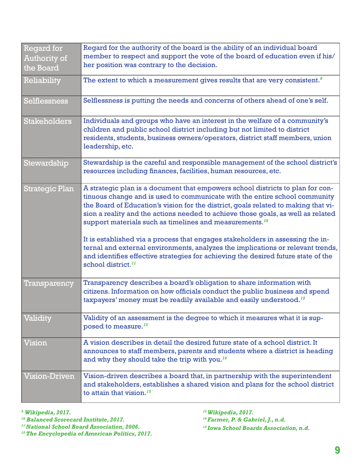| <b>Regard for</b><br>Authority of<br>the Board | Regard for the authority of the board is the ability of an individual board<br>member to respect and support the vote of the board of education even if his/<br>her position was contrary to the decision.                                                                                                                                                                                                                                                                                                                                                                                                                                                                                                |
|------------------------------------------------|-----------------------------------------------------------------------------------------------------------------------------------------------------------------------------------------------------------------------------------------------------------------------------------------------------------------------------------------------------------------------------------------------------------------------------------------------------------------------------------------------------------------------------------------------------------------------------------------------------------------------------------------------------------------------------------------------------------|
| Reliability                                    | The extent to which a measurement gives results that are very consistent. <sup>9</sup>                                                                                                                                                                                                                                                                                                                                                                                                                                                                                                                                                                                                                    |
| <b>Selflessness</b>                            | Selflessness is putting the needs and concerns of others ahead of one's self.                                                                                                                                                                                                                                                                                                                                                                                                                                                                                                                                                                                                                             |
| <b>Stakeholders</b>                            | Individuals and groups who have an interest in the welfare of a community's<br>children and public school district including but not limited to district<br>residents, students, business owners/operators, district staff members, union<br>leadership, etc.                                                                                                                                                                                                                                                                                                                                                                                                                                             |
| Stewardship                                    | Stewardship is the careful and responsible management of the school district's<br>resources including finances, facilities, human resources, etc.                                                                                                                                                                                                                                                                                                                                                                                                                                                                                                                                                         |
| <b>Strategic Plan</b>                          | A strategic plan is a document that empowers school districts to plan for con-<br>tinuous change and is used to communicate with the entire school community<br>the Board of Education's vision for the district, goals related to making that vi-<br>sion a reality and the actions needed to achieve those goals, as well as related<br>support materials such as timelines and measurements. <sup>10</sup><br>It is established via a process that engages stakeholders in assessing the in-<br>ternal and external environments, analyzes the implications or relevant trends,<br>and identifies effective strategies for achieving the desired future state of the<br>school district. <sup>11</sup> |
| Transparency                                   | Transparency describes a board's obligation to share information with<br>citizens. Information on how officials conduct the public business and spend<br>taxpayers' money must be readily available and easily understood. <sup>12</sup>                                                                                                                                                                                                                                                                                                                                                                                                                                                                  |
| Validity                                       | Validity of an assessment is the degree to which it measures what it is sup-<br>posed to measure. <sup>13</sup>                                                                                                                                                                                                                                                                                                                                                                                                                                                                                                                                                                                           |
| Vision                                         | A vision describes in detail the desired future state of a school district. It<br>announces to staff members, parents and students where a district is heading<br>and why they should take the trip with you. <sup>14</sup>                                                                                                                                                                                                                                                                                                                                                                                                                                                                               |
| <b>Vision-Driven</b>                           | Vision-driven describes a board that, in partnership with the superintendent<br>and stakeholders, establishes a shared vision and plans for the school district<br>to attain that vision. $15$                                                                                                                                                                                                                                                                                                                                                                                                                                                                                                            |

*9 Wikipedia, 2017.*

*10 Balanced Scorecard Institute, 2017.*

*11 National School Board Association, 2006.*

*12 The Encyclopedia of American Politics, 2017.*

*13 Wikipedia, 2017.*

*14 Farmer, P. & Gabriel, J., n.d.*

*15 Iowa School Boards Association, n.d.*